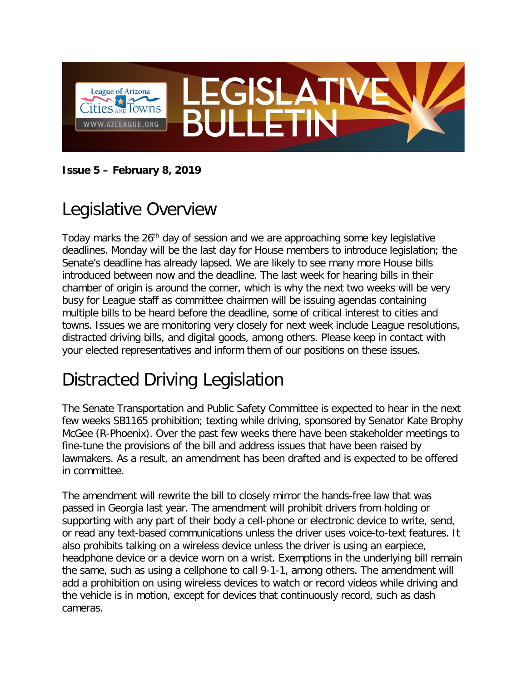

**Issue 5 – February 8, 2019**

# Legislative Overview

Today marks the 26<sup>th</sup> day of session and we are approaching some key legislative deadlines. Monday will be the last day for House members to introduce legislation; the Senate's deadline has already lapsed. We are likely to see many more House bills introduced between now and the deadline. The last week for hearing bills in their chamber of origin is around the corner, which is why the next two weeks will be very busy for League staff as committee chairmen will be issuing agendas containing multiple bills to be heard before the deadline, some of critical interest to cities and towns. Issues we are monitoring very closely for next week include League resolutions, distracted driving bills, and digital goods, among others. Please keep in contact with your elected representatives and inform them of our positions on these issues.

## Distracted Driving Legislation

The Senate Transportation and Public Safety Committee is expected to hear in the next few weeks SB1165 prohibition; texting while driving, sponsored by Senator Kate Brophy McGee (R-Phoenix). Over the past few weeks there have been stakeholder meetings to fine-tune the provisions of the bill and address issues that have been raised by lawmakers. As a result, an amendment has been drafted and is expected to be offered in committee.

The amendment will rewrite the bill to closely mirror the hands-free law that was passed in Georgia last year. The amendment will prohibit drivers from holding or supporting with any part of their body a cell-phone or electronic device to write, send, or read any text-based communications unless the driver uses voice-to-text features. It also prohibits talking on a wireless device unless the driver is using an earpiece, headphone device or a device worn on a wrist. Exemptions in the underlying bill remain the same, such as using a cellphone to call 9-1-1, among others. The amendment will add a prohibition on using wireless devices to watch or record videos while driving and the vehicle is in motion, except for devices that continuously record, such as dash cameras.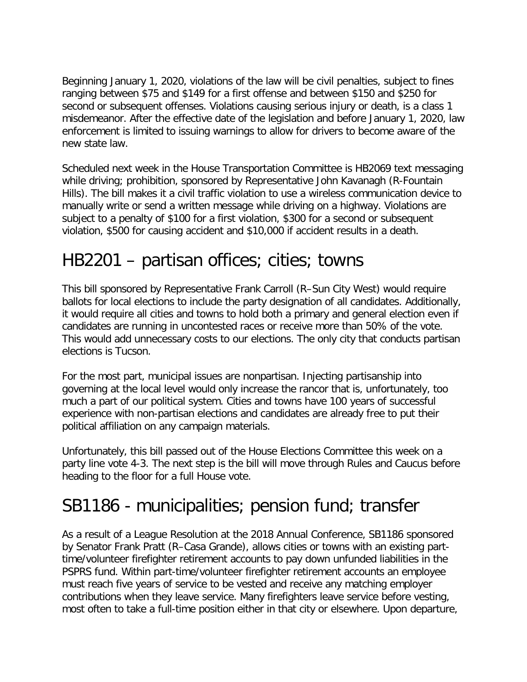Beginning January 1, 2020, violations of the law will be civil penalties, subject to fines ranging between \$75 and \$149 for a first offense and between \$150 and \$250 for second or subsequent offenses. Violations causing serious injury or death, is a class 1 misdemeanor. After the effective date of the legislation and before January 1, 2020, law enforcement is limited to issuing warnings to allow for drivers to become aware of the new state law.

Scheduled next week in the House Transportation Committee is HB2069 text messaging while driving; prohibition, sponsored by Representative John Kavanagh (R-Fountain Hills). The bill makes it a civil traffic violation to use a wireless communication device to manually write or send a written message while driving on a highway. Violations are subject to a penalty of \$100 for a first violation, \$300 for a second or subsequent violation, \$500 for causing accident and \$10,000 if accident results in a death.

#### HB2201 – partisan offices; cities; towns

This bill sponsored by Representative Frank Carroll (R–Sun City West) would require ballots for local elections to include the party designation of all candidates. Additionally, it would require all cities and towns to hold both a primary and general election even if candidates are running in uncontested races or receive more than 50% of the vote. This would add unnecessary costs to our elections. The only city that conducts partisan elections is Tucson.

For the most part, municipal issues are nonpartisan. Injecting partisanship into governing at the local level would only increase the rancor that is, unfortunately, too much a part of our political system. Cities and towns have 100 years of successful experience with non-partisan elections and candidates are already free to put their political affiliation on any campaign materials.

Unfortunately, this bill passed out of the House Elections Committee this week on a party line vote 4-3. The next step is the bill will move through Rules and Caucus before heading to the floor for a full House vote.

## SB1186 - municipalities; pension fund; transfer

As a result of a League Resolution at the 2018 Annual Conference, SB1186 sponsored by Senator Frank Pratt (R–Casa Grande), allows cities or towns with an existing parttime/volunteer firefighter retirement accounts to pay down unfunded liabilities in the PSPRS fund. Within part-time/volunteer firefighter retirement accounts an employee must reach five years of service to be vested and receive any matching employer contributions when they leave service. Many firefighters leave service before vesting, most often to take a full-time position either in that city or elsewhere. Upon departure,